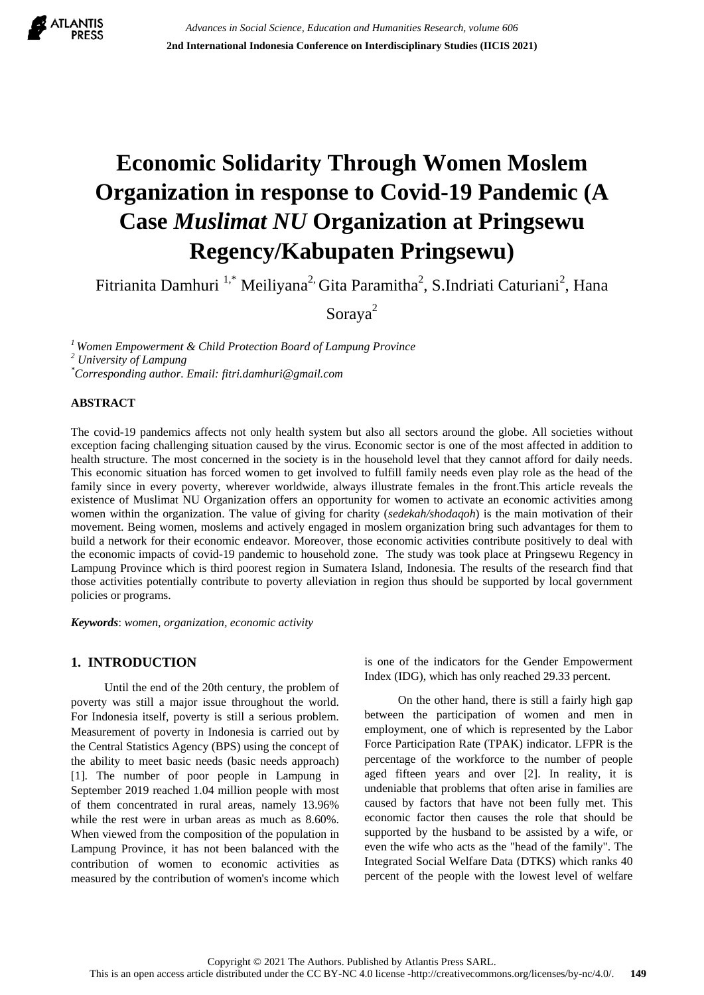

# **Economic Solidarity Through Women Moslem Organization in response to Covid-19 Pandemic (A Case** *Muslimat NU* **Organization at Pringsewu Regency/Kabupaten Pringsewu)**

Fitrianita Damhuri <sup>1,\*</sup> Meiliyana<sup>2,</sup> Gita Paramitha<sup>2</sup>, S.Indriati Caturiani<sup>2</sup>, Hana

Soraya<sup>2</sup>

*<sup>1</sup>Women Empowerment & Child Protection Board of Lampung Province <sup>2</sup> University of Lampung \*Corresponding author. Email: fitri.damhuri@gmail.com*

#### **ABSTRACT**

The covid-19 pandemics affects not only health system but also all sectors around the globe. All societies without exception facing challenging situation caused by the virus. Economic sector is one of the most affected in addition to health structure. The most concerned in the society is in the household level that they cannot afford for daily needs. This economic situation has forced women to get involved to fulfill family needs even play role as the head of the family since in every poverty, wherever worldwide, always illustrate females in the front.This article reveals the existence of Muslimat NU Organization offers an opportunity for women to activate an economic activities among women within the organization. The value of giving for charity (*sedekah/shodaqoh*) is the main motivation of their movement. Being women, moslems and actively engaged in moslem organization bring such advantages for them to build a network for their economic endeavor. Moreover, those economic activities contribute positively to deal with the economic impacts of covid-19 pandemic to household zone. The study was took place at Pringsewu Regency in Lampung Province which is third poorest region in Sumatera Island, Indonesia. The results of the research find that those activities potentially contribute to poverty alleviation in region thus should be supported by local government policies or programs.

*Keywords*: *women, organization, economic activity*

# **1. INTRODUCTION**

Until the end of the 20th century, the problem of poverty was still a major issue throughout the world. For Indonesia itself, poverty is still a serious problem. Measurement of poverty in Indonesia is carried out by the Central Statistics Agency (BPS) using the concept of the ability to meet basic needs (basic needs approach) [1]. The number of poor people in Lampung in September 2019 reached 1.04 million people with most of them concentrated in rural areas, namely 13.96% while the rest were in urban areas as much as 8.60%. When viewed from the composition of the population in Lampung Province, it has not been balanced with the contribution of women to economic activities as measured by the contribution of women's income which is one of the indicators for the Gender Empowerment Index (IDG), which has only reached 29.33 percent.

On the other hand, there is still a fairly high gap between the participation of women and men in employment, one of which is represented by the Labor Force Participation Rate (TPAK) indicator. LFPR is the percentage of the workforce to the number of people aged fifteen years and over [2]. In reality, it is undeniable that problems that often arise in families are caused by factors that have not been fully met. This economic factor then causes the role that should be supported by the husband to be assisted by a wife, or even the wife who acts as the "head of the family". The Integrated Social Welfare Data (DTKS) which ranks 40 percent of the people with the lowest level of welfare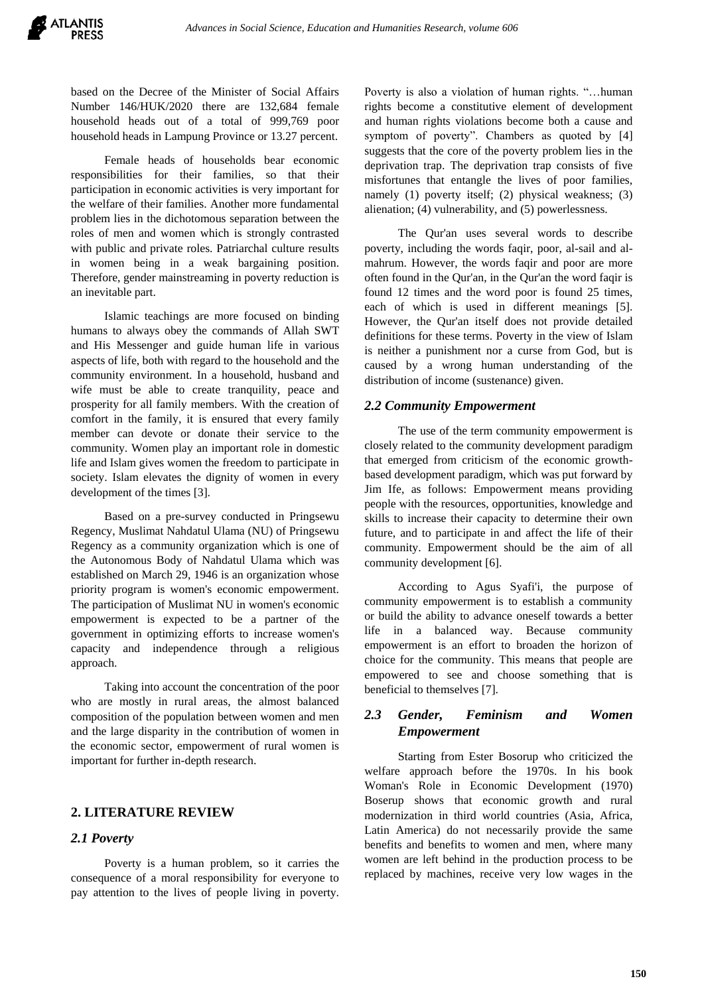based on the Decree of the Minister of Social Affairs Number 146/HUK/2020 there are 132,684 female household heads out of a total of 999,769 poor household heads in Lampung Province or 13.27 percent.

Female heads of households bear economic responsibilities for their families, so that their participation in economic activities is very important for the welfare of their families. Another more fundamental problem lies in the dichotomous separation between the roles of men and women which is strongly contrasted with public and private roles. Patriarchal culture results in women being in a weak bargaining position. Therefore, gender mainstreaming in poverty reduction is an inevitable part.

Islamic teachings are more focused on binding humans to always obey the commands of Allah SWT and His Messenger and guide human life in various aspects of life, both with regard to the household and the community environment. In a household, husband and wife must be able to create tranquility, peace and prosperity for all family members. With the creation of comfort in the family, it is ensured that every family member can devote or donate their service to the community. Women play an important role in domestic life and Islam gives women the freedom to participate in society. Islam elevates the dignity of women in every development of the times [3].

Based on a pre-survey conducted in Pringsewu Regency, Muslimat Nahdatul Ulama (NU) of Pringsewu Regency as a community organization which is one of the Autonomous Body of Nahdatul Ulama which was established on March 29, 1946 is an organization whose priority program is women's economic empowerment. The participation of Muslimat NU in women's economic empowerment is expected to be a partner of the government in optimizing efforts to increase women's capacity and independence through a religious approach.

Taking into account the concentration of the poor who are mostly in rural areas, the almost balanced composition of the population between women and men and the large disparity in the contribution of women in the economic sector, empowerment of rural women is important for further in-depth research.

# **2. LITERATURE REVIEW**

#### *2.1 Poverty*

Poverty is a human problem, so it carries the consequence of a moral responsibility for everyone to pay attention to the lives of people living in poverty. Poverty is also a violation of human rights. "…human rights become a constitutive element of development and human rights violations become both a cause and symptom of poverty". Chambers as quoted by [4] suggests that the core of the poverty problem lies in the deprivation trap. The deprivation trap consists of five misfortunes that entangle the lives of poor families, namely (1) poverty itself; (2) physical weakness; (3) alienation; (4) vulnerability, and (5) powerlessness.

The Qur'an uses several words to describe poverty, including the words faqir, poor, al-sail and almahrum. However, the words faqir and poor are more often found in the Qur'an, in the Qur'an the word faqir is found 12 times and the word poor is found 25 times, each of which is used in different meanings [5]. However, the Qur'an itself does not provide detailed definitions for these terms. Poverty in the view of Islam is neither a punishment nor a curse from God, but is caused by a wrong human understanding of the distribution of income (sustenance) given.

#### *2.2 Community Empowerment*

The use of the term community empowerment is closely related to the community development paradigm that emerged from criticism of the economic growthbased development paradigm, which was put forward by Jim Ife, as follows: Empowerment means providing people with the resources, opportunities, knowledge and skills to increase their capacity to determine their own future, and to participate in and affect the life of their community. Empowerment should be the aim of all community development [6].

According to Agus Syafi'i, the purpose of community empowerment is to establish a community or build the ability to advance oneself towards a better life in a balanced way. Because community empowerment is an effort to broaden the horizon of choice for the community. This means that people are empowered to see and choose something that is beneficial to themselves [7].

# *2.3 Gender, Feminism and Women Empowerment*

Starting from Ester Bosorup who criticized the welfare approach before the 1970s. In his book Woman's Role in Economic Development (1970) Boserup shows that economic growth and rural modernization in third world countries (Asia, Africa, Latin America) do not necessarily provide the same benefits and benefits to women and men, where many women are left behind in the production process to be replaced by machines, receive very low wages in the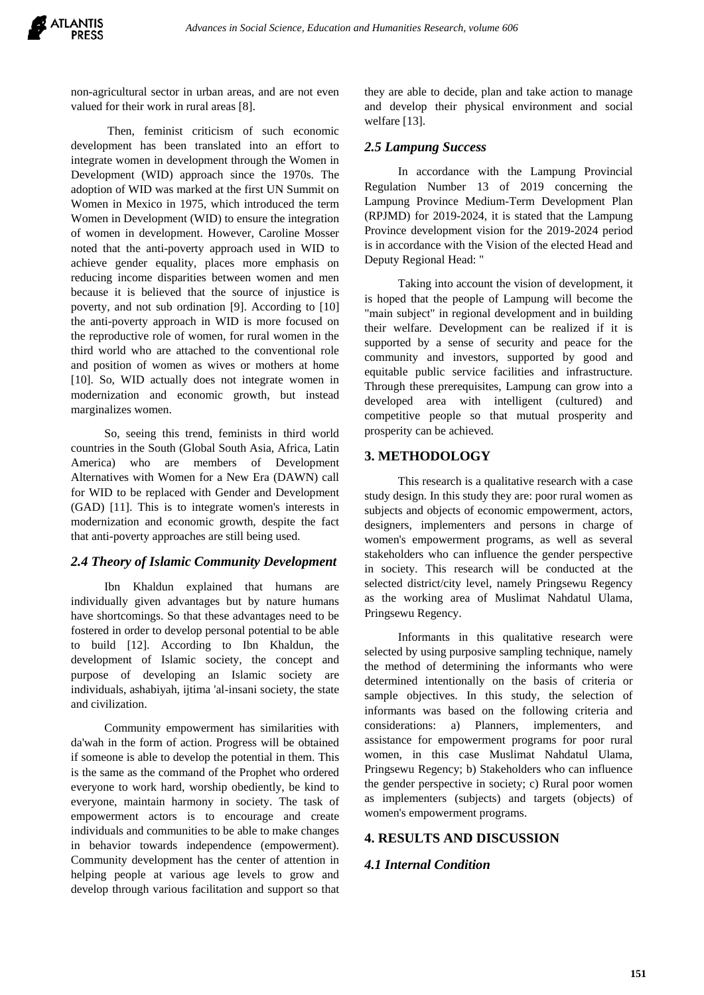non-agricultural sector in urban areas, and are not even valued for their work in rural areas [8].

Then, feminist criticism of such economic development has been translated into an effort to integrate women in development through the Women in Development (WID) approach since the 1970s. The adoption of WID was marked at the first UN Summit on Women in Mexico in 1975, which introduced the term Women in Development (WID) to ensure the integration of women in development. However, Caroline Mosser noted that the anti-poverty approach used in WID to achieve gender equality, places more emphasis on reducing income disparities between women and men because it is believed that the source of injustice is poverty, and not sub ordination [9]. According to [10] the anti-poverty approach in WID is more focused on the reproductive role of women, for rural women in the third world who are attached to the conventional role and position of women as wives or mothers at home [10]. So, WID actually does not integrate women in modernization and economic growth, but instead marginalizes women.

So, seeing this trend, feminists in third world countries in the South (Global South Asia, Africa, Latin America) who are members of Development Alternatives with Women for a New Era (DAWN) call for WID to be replaced with Gender and Development (GAD) [11]. This is to integrate women's interests in modernization and economic growth, despite the fact that anti-poverty approaches are still being used.

# *2.4 Theory of Islamic Community Development*

Ibn Khaldun explained that humans are individually given advantages but by nature humans have shortcomings. So that these advantages need to be fostered in order to develop personal potential to be able to build [12]. According to Ibn Khaldun, the development of Islamic society, the concept and purpose of developing an Islamic society are individuals, ashabiyah, ijtima 'al-insani society, the state and civilization.

Community empowerment has similarities with da'wah in the form of action. Progress will be obtained if someone is able to develop the potential in them. This is the same as the command of the Prophet who ordered everyone to work hard, worship obediently, be kind to everyone, maintain harmony in society. The task of empowerment actors is to encourage and create individuals and communities to be able to make changes in behavior towards independence (empowerment). Community development has the center of attention in helping people at various age levels to grow and develop through various facilitation and support so that they are able to decide, plan and take action to manage and develop their physical environment and social welfare [13].

# *2.5 Lampung Success*

In accordance with the Lampung Provincial Regulation Number 13 of 2019 concerning the Lampung Province Medium-Term Development Plan (RPJMD) for 2019-2024, it is stated that the Lampung Province development vision for the 2019-2024 period is in accordance with the Vision of the elected Head and Deputy Regional Head: "

Taking into account the vision of development, it is hoped that the people of Lampung will become the "main subject" in regional development and in building their welfare. Development can be realized if it is supported by a sense of security and peace for the community and investors, supported by good and equitable public service facilities and infrastructure. Through these prerequisites, Lampung can grow into a developed area with intelligent (cultured) and competitive people so that mutual prosperity and prosperity can be achieved.

## **3. METHODOLOGY**

This research is a qualitative research with a case study design. In this study they are: poor rural women as subjects and objects of economic empowerment, actors, designers, implementers and persons in charge of women's empowerment programs, as well as several stakeholders who can influence the gender perspective in society. This research will be conducted at the selected district/city level, namely Pringsewu Regency as the working area of Muslimat Nahdatul Ulama, Pringsewu Regency.

Informants in this qualitative research were selected by using purposive sampling technique, namely the method of determining the informants who were determined intentionally on the basis of criteria or sample objectives. In this study, the selection of informants was based on the following criteria and considerations: a) Planners, implementers, and assistance for empowerment programs for poor rural women, in this case Muslimat Nahdatul Ulama, Pringsewu Regency; b) Stakeholders who can influence the gender perspective in society; c) Rural poor women as implementers (subjects) and targets (objects) of women's empowerment programs.

# **4. RESULTS AND DISCUSSION**

# *4.1 Internal Condition*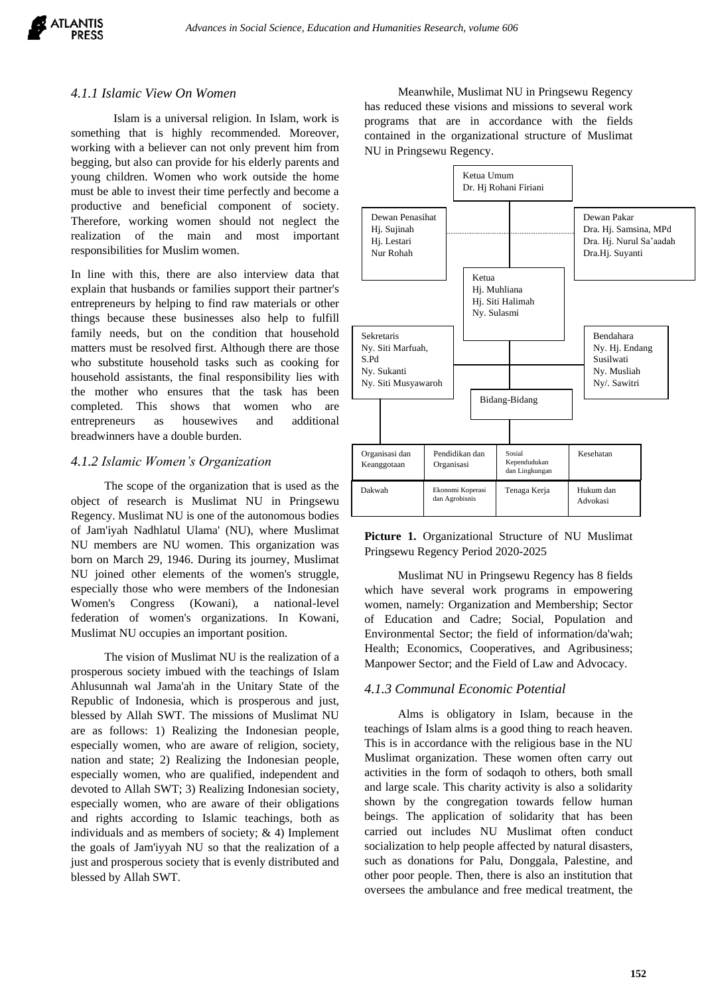

#### *4.1.1 Islamic View On Women*

Islam is a universal religion. In Islam, work is something that is highly recommended. Moreover, working with a believer can not only prevent him from begging, but also can provide for his elderly parents and young children. Women who work outside the home must be able to invest their time perfectly and become a productive and beneficial component of society. Therefore, working women should not neglect the realization of the main and most important responsibilities for Muslim women.

In line with this, there are also interview data that explain that husbands or families support their partner's entrepreneurs by helping to find raw materials or other things because these businesses also help to fulfill family needs, but on the condition that household matters must be resolved first. Although there are those who substitute household tasks such as cooking for household assistants, the final responsibility lies with the mother who ensures that the task has been completed. This shows that women who are entrepreneurs as housewives and additional breadwinners have a double burden.

#### *4.1.2 Islamic Women's Organization*

The scope of the organization that is used as the object of research is Muslimat NU in Pringsewu Regency. Muslimat NU is one of the autonomous bodies of Jam'iyah Nadhlatul Ulama' (NU), where Muslimat NU members are NU women. This organization was born on March 29, 1946. During its journey, Muslimat NU joined other elements of the women's struggle, especially those who were members of the Indonesian Women's Congress (Kowani), a national-level federation of women's organizations. In Kowani, Muslimat NU occupies an important position.

The vision of Muslimat NU is the realization of a prosperous society imbued with the teachings of Islam Ahlusunnah wal Jama'ah in the Unitary State of the Republic of Indonesia, which is prosperous and just, blessed by Allah SWT. The missions of Muslimat NU are as follows: 1) Realizing the Indonesian people, especially women, who are aware of religion, society, nation and state; 2) Realizing the Indonesian people, especially women, who are qualified, independent and devoted to Allah SWT; 3) Realizing Indonesian society, especially women, who are aware of their obligations and rights according to Islamic teachings, both as individuals and as members of society; & 4) Implement the goals of Jam'iyyah NU so that the realization of a just and prosperous society that is evenly distributed and blessed by Allah SWT.

Meanwhile, Muslimat NU in Pringsewu Regency has reduced these visions and missions to several work programs that are in accordance with the fields contained in the organizational structure of Muslimat NU in Pringsewu Regency.



**Picture 1.** Organizational Structure of NU Muslimat Pringsewu Regency Period 2020-2025

Muslimat NU in Pringsewu Regency has 8 fields which have several work programs in empowering women, namely: Organization and Membership; Sector of Education and Cadre; Social, Population and Environmental Sector; the field of information/da'wah; Health; Economics, Cooperatives, and Agribusiness; Manpower Sector; and the Field of Law and Advocacy.

#### *4.1.3 Communal Economic Potential*

Alms is obligatory in Islam, because in the teachings of Islam alms is a good thing to reach heaven. This is in accordance with the religious base in the NU Muslimat organization. These women often carry out activities in the form of sodaqoh to others, both small and large scale. This charity activity is also a solidarity shown by the congregation towards fellow human beings. The application of solidarity that has been carried out includes NU Muslimat often conduct socialization to help people affected by natural disasters, such as donations for Palu, Donggala, Palestine, and other poor people. Then, there is also an institution that oversees the ambulance and free medical treatment, the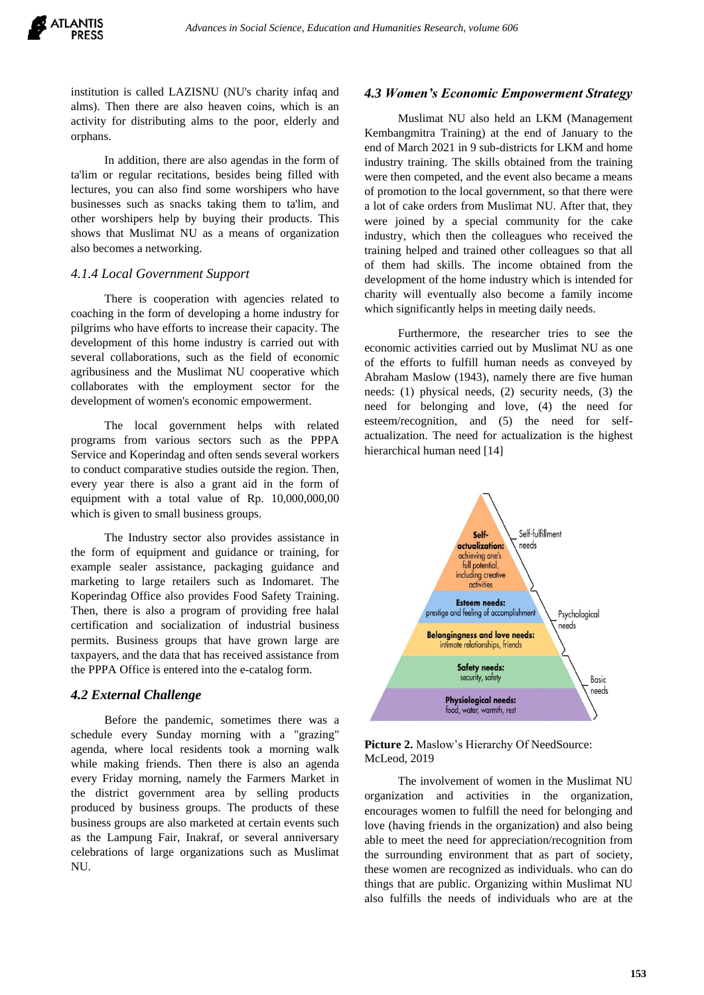institution is called LAZISNU (NU's charity infaq and alms). Then there are also heaven coins, which is an activity for distributing alms to the poor, elderly and orphans.

In addition, there are also agendas in the form of ta'lim or regular recitations, besides being filled with lectures, you can also find some worshipers who have businesses such as snacks taking them to ta'lim, and other worshipers help by buying their products. This shows that Muslimat NU as a means of organization also becomes a networking.

## *4.1.4 Local Government Support*

There is cooperation with agencies related to coaching in the form of developing a home industry for pilgrims who have efforts to increase their capacity. The development of this home industry is carried out with several collaborations, such as the field of economic agribusiness and the Muslimat NU cooperative which collaborates with the employment sector for the development of women's economic empowerment.

The local government helps with related programs from various sectors such as the PPPA Service and Koperindag and often sends several workers to conduct comparative studies outside the region. Then, every year there is also a grant aid in the form of equipment with a total value of Rp. 10,000,000,00 which is given to small business groups.

The Industry sector also provides assistance in the form of equipment and guidance or training, for example sealer assistance, packaging guidance and marketing to large retailers such as Indomaret. The Koperindag Office also provides Food Safety Training. Then, there is also a program of providing free halal certification and socialization of industrial business permits. Business groups that have grown large are taxpayers, and the data that has received assistance from the PPPA Office is entered into the e-catalog form.

# *4.2 External Challenge*

Before the pandemic, sometimes there was a schedule every Sunday morning with a "grazing" agenda, where local residents took a morning walk while making friends. Then there is also an agenda every Friday morning, namely the Farmers Market in the district government area by selling products produced by business groups. The products of these business groups are also marketed at certain events such as the Lampung Fair, Inakraf, or several anniversary celebrations of large organizations such as Muslimat NU.

#### *4.3 Women's Economic Empowerment Strategy*

Muslimat NU also held an LKM (Management Kembangmitra Training) at the end of January to the end of March 2021 in 9 sub-districts for LKM and home industry training. The skills obtained from the training were then competed, and the event also became a means of promotion to the local government, so that there were a lot of cake orders from Muslimat NU. After that, they were joined by a special community for the cake industry, which then the colleagues who received the training helped and trained other colleagues so that all of them had skills. The income obtained from the development of the home industry which is intended for charity will eventually also become a family income which significantly helps in meeting daily needs.

Furthermore, the researcher tries to see the economic activities carried out by Muslimat NU as one of the efforts to fulfill human needs as conveyed by Abraham Maslow (1943), namely there are five human needs: (1) physical needs, (2) security needs, (3) the need for belonging and love, (4) the need for esteem/recognition, and (5) the need for selfactualization. The need for actualization is the highest hierarchical human need [14]



#### Picture 2. Maslow's Hierarchy Of NeedSource: McLeod, 2019

The involvement of women in the Muslimat NU organization and activities in the organization, encourages women to fulfill the need for belonging and love (having friends in the organization) and also being able to meet the need for appreciation/recognition from the surrounding environment that as part of society, these women are recognized as individuals. who can do things that are public. Organizing within Muslimat NU also fulfills the needs of individuals who are at the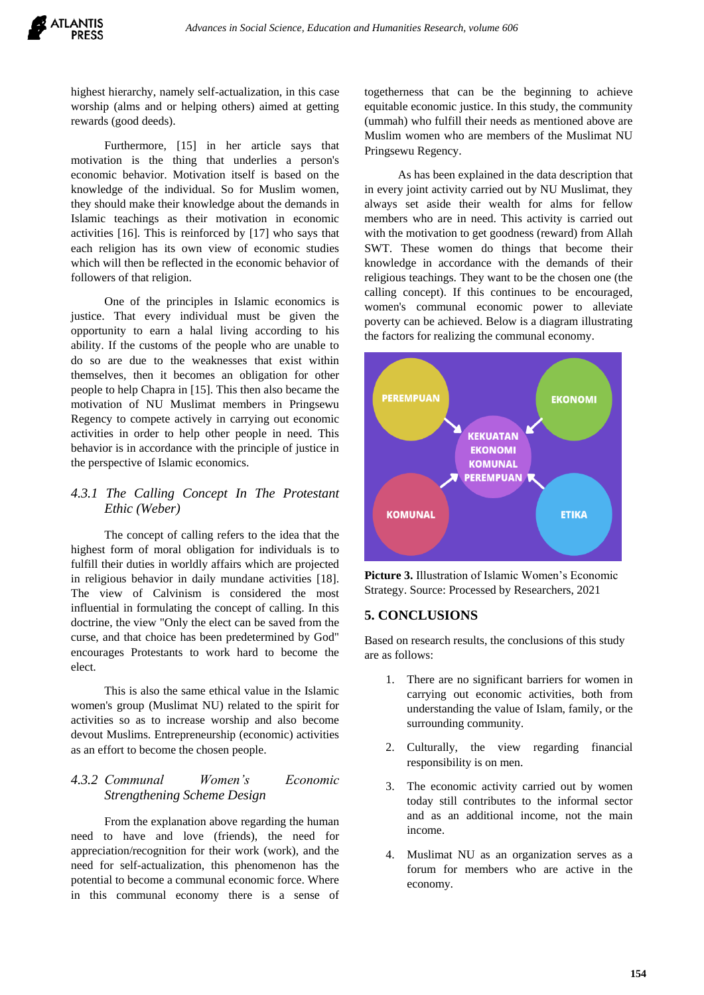highest hierarchy, namely self-actualization, in this case worship (alms and or helping others) aimed at getting rewards (good deeds).

Furthermore, [15] in her article says that motivation is the thing that underlies a person's economic behavior. Motivation itself is based on the knowledge of the individual. So for Muslim women, they should make their knowledge about the demands in Islamic teachings as their motivation in economic activities [16]. This is reinforced by [17] who says that each religion has its own view of economic studies which will then be reflected in the economic behavior of followers of that religion.

One of the principles in Islamic economics is justice. That every individual must be given the opportunity to earn a halal living according to his ability. If the customs of the people who are unable to do so are due to the weaknesses that exist within themselves, then it becomes an obligation for other people to help Chapra in [15]. This then also became the motivation of NU Muslimat members in Pringsewu Regency to compete actively in carrying out economic activities in order to help other people in need. This behavior is in accordance with the principle of justice in the perspective of Islamic economics.

# *4.3.1 The Calling Concept In The Protestant Ethic (Weber)*

The concept of calling refers to the idea that the highest form of moral obligation for individuals is to fulfill their duties in worldly affairs which are projected in religious behavior in daily mundane activities [18]. The view of Calvinism is considered the most influential in formulating the concept of calling. In this doctrine, the view "Only the elect can be saved from the curse, and that choice has been predetermined by God" encourages Protestants to work hard to become the elect.

This is also the same ethical value in the Islamic women's group (Muslimat NU) related to the spirit for activities so as to increase worship and also become devout Muslims. Entrepreneurship (economic) activities as an effort to become the chosen people.

# *4.3.2 Communal Women's Economic Strengthening Scheme Design*

From the explanation above regarding the human need to have and love (friends), the need for appreciation/recognition for their work (work), and the need for self-actualization, this phenomenon has the potential to become a communal economic force. Where in this communal economy there is a sense of

togetherness that can be the beginning to achieve equitable economic justice. In this study, the community (ummah) who fulfill their needs as mentioned above are Muslim women who are members of the Muslimat NU Pringsewu Regency.

As has been explained in the data description that in every joint activity carried out by NU Muslimat, they always set aside their wealth for alms for fellow members who are in need. This activity is carried out with the motivation to get goodness (reward) from Allah SWT. These women do things that become their knowledge in accordance with the demands of their religious teachings. They want to be the chosen one (the calling concept). If this continues to be encouraged, women's communal economic power to alleviate poverty can be achieved. Below is a diagram illustrating the factors for realizing the communal economy.



**Picture 3.** Illustration of Islamic Women's Economic Strategy. Source: Processed by Researchers, 2021

# **5. CONCLUSIONS**

Based on research results, the conclusions of this study are as follows:

- 1. There are no significant barriers for women in carrying out economic activities, both from understanding the value of Islam, family, or the surrounding community.
- 2. Culturally, the view regarding financial responsibility is on men.
- 3. The economic activity carried out by women today still contributes to the informal sector and as an additional income, not the main income.
- 4. Muslimat NU as an organization serves as a forum for members who are active in the economy.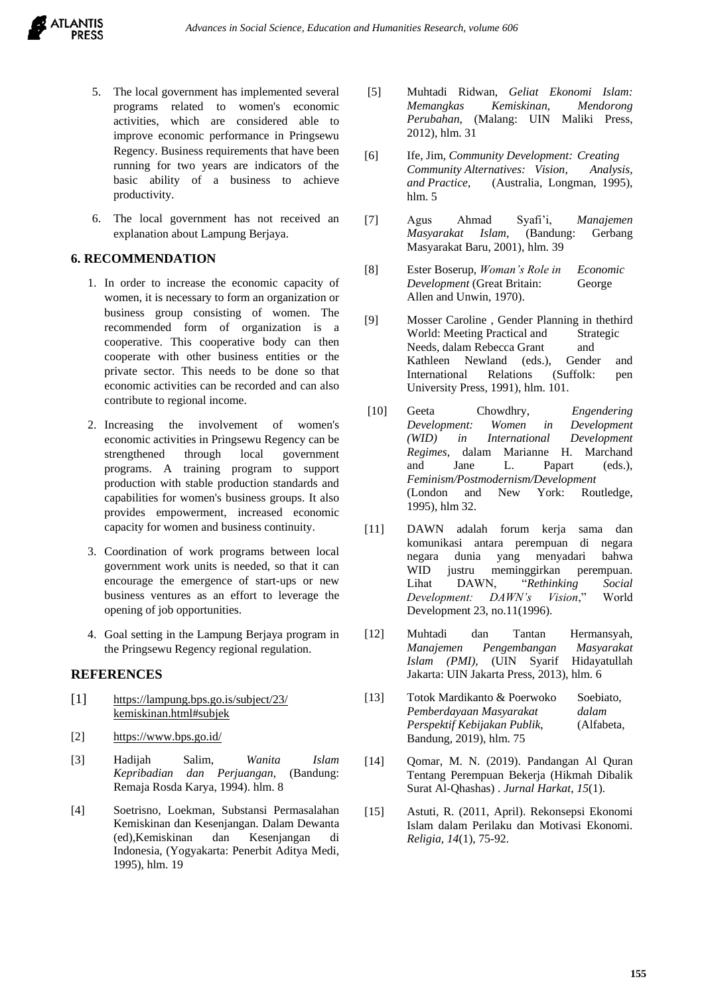- 5. The local government has implemented several programs related to women's economic activities, which are considered able to improve economic performance in Pringsewu Regency. Business requirements that have been running for two years are indicators of the basic ability of a business to achieve productivity.
- 6. The local government has not received an explanation about Lampung Berjaya.

## **6. RECOMMENDATION**

- 1. In order to increase the economic capacity of women, it is necessary to form an organization or business group consisting of women. The recommended form of organization is a cooperative. This cooperative body can then cooperate with other business entities or the private sector. This needs to be done so that economic activities can be recorded and can also contribute to regional income.
- 2. Increasing the involvement of women's economic activities in Pringsewu Regency can be strengthened through local government programs. A training program to support production with stable production standards and capabilities for women's business groups. It also provides empowerment, increased economic capacity for women and business continuity.
- 3. Coordination of work programs between local government work units is needed, so that it can encourage the emergence of start-ups or new business ventures as an effort to leverage the opening of job opportunities.
- 4. Goal setting in the Lampung Berjaya program in the Pringsewu Regency regional regulation.

## **REFERENCES**

- [1] <https://lampung.bps.go.is/subject/23/> kemiskinan.html#subjek
- [2] <https://www.bps.go.id/>
- [3] Hadijah Salim, *Wanita Islam Kepribadian dan Perjuangan*, (Bandung: Remaja Rosda Karya, 1994). hlm. 8
- [4] Soetrisno, Loekman, Substansi Permasalahan Kemiskinan dan Kesenjangan. Dalam Dewanta (ed),Kemiskinan dan Kesenjangan di Indonesia, (Yogyakarta: Penerbit Aditya Medi, 1995), hlm. 19
- [5] Muhtadi Ridwan, *Geliat Ekonomi Islam: Memangkas Kemiskinan, Mendorong Perubahan*, (Malang: UIN Maliki Press, 2012), hlm. 31
- [6] Ife, Jim, *Community Development: Creating Community Alternatives: Vision, Analysis, and Practice*, (Australia, Longman, 1995), hlm. 5
- [7] Agus Ahmad Syafi'i, *Manajemen Masyarakat Islam*, (Bandung: Gerbang Masyarakat Baru, 2001), hlm. 39
- [8] Ester Boserup, *Woman's Role in Economic Development* (Great Britain: George Allen and Unwin, 1970).
- [9] Mosser Caroline , Gender Planning in thethird World: Meeting Practical and Strategic Needs, dalam Rebecca Grant and Kathleen Newland (eds.), Gender and International Relations (Suffolk: pen University Press, 1991), hlm. 101.
- [10] Geeta Chowdhry, *Engendering Development: Women in Development (WID) in International Development Regimes*, dalam Marianne H. Marchand and Jane L. Papart (eds.), *Feminism/Postmodernism/Development* (London and New York: Routledge, 1995), hlm 32.
- [11] DAWN adalah forum kerja sama dan komunikasi antara perempuan di negara negara dunia yang menyadari bahwa WID justru meminggirkan perempuan. Lihat DAWN, "*Rethinking Social Development: DAWN's Vision*," World Development 23, no.11(1996).
- [12] Muhtadi dan Tantan Hermansyah, *Manajemen Pengembangan Masyarakat Islam (PMI),* (UIN Syarif Hidayatullah Jakarta: UIN Jakarta Press, 2013), hlm. 6
- [13] Totok Mardikanto & Poerwoko Soebiato, *Pemberdayaan Masyarakat dalam Perspektif Kebijakan Publik*, (Alfabeta, Bandung, 2019), hlm. 75
- [14] Qomar, M. N. (2019). Pandangan Al Quran Tentang Perempuan Bekerja (Hikmah Dibalik Surat Al-Qhashas) . *Jurnal Harkat, 15*(1).
- [15] Astuti, R. (2011, April). Rekonsepsi Ekonomi Islam dalam Perilaku dan Motivasi Ekonomi. *Religia, 14*(1), 75-92.